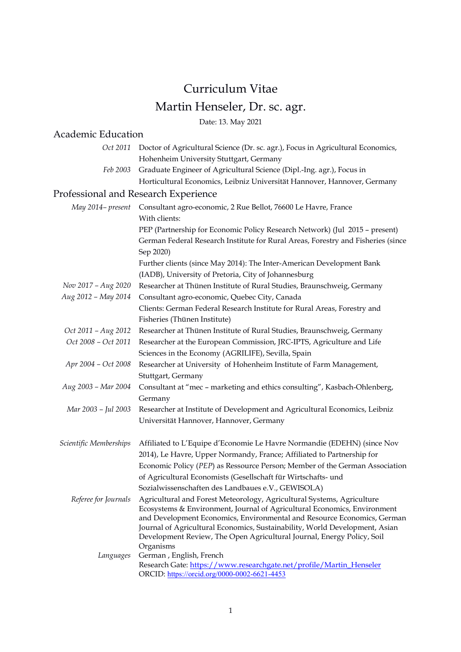# Curriculum Vitae Martin Henseler, Dr. sc. agr.

Date: 13. May 2021

# Academic Education

|                                      | Oct 2011 Doctor of Agricultural Science (Dr. sc. agr.), Focus in Agricultural Economics,                                                              |
|--------------------------------------|-------------------------------------------------------------------------------------------------------------------------------------------------------|
|                                      | Hohenheim University Stuttgart, Germany                                                                                                               |
| Feb 2003                             | Graduate Engineer of Agricultural Science (Dipl.-Ing. agr.), Focus in                                                                                 |
|                                      | Horticultural Economics, Leibniz Universität Hannover, Hannover, Germany                                                                              |
| Professional and Research Experience |                                                                                                                                                       |
| May 2014– present                    | Consultant agro-economic, 2 Rue Bellot, 76600 Le Havre, France                                                                                        |
|                                      | With clients:                                                                                                                                         |
|                                      | PEP (Partnership for Economic Policy Research Network) (Jul 2015 - present)                                                                           |
|                                      | German Federal Research Institute for Rural Areas, Forestry and Fisheries (since<br>Sep 2020)                                                         |
|                                      | Further clients (since May 2014): The Inter-American Development Bank                                                                                 |
|                                      | (IADB), University of Pretoria, City of Johannesburg                                                                                                  |
| Nov 2017 - Aug 2020                  | Researcher at Thünen Institute of Rural Studies, Braunschweig, Germany                                                                                |
| Aug 2012 - May 2014                  | Consultant agro-economic, Quebec City, Canada                                                                                                         |
|                                      | Clients: German Federal Research Institute for Rural Areas, Forestry and<br>Fisheries (Thünen Institute)                                              |
| Oct 2011 - Aug 2012                  | Researcher at Thünen Institute of Rural Studies, Braunschweig, Germany                                                                                |
| Oct 2008 - Oct 2011                  | Researcher at the European Commission, JRC-IPTS, Agriculture and Life                                                                                 |
|                                      | Sciences in the Economy (AGRILIFE), Sevilla, Spain                                                                                                    |
| Apr 2004 - Oct 2008                  | Researcher at University of Hohenheim Institute of Farm Management,<br>Stuttgart, Germany                                                             |
| Aug 2003 - Mar 2004                  | Consultant at "mec - marketing and ethics consulting", Kasbach-Ohlenberg,                                                                             |
|                                      | Germany                                                                                                                                               |
| Mar 2003 - Jul 2003                  | Researcher at Institute of Development and Agricultural Economics, Leibniz                                                                            |
|                                      | Universität Hannover, Hannover, Germany                                                                                                               |
| Scientific Memberships               | Affiliated to L'Equipe d'Economie Le Havre Normandie (EDEHN) (since Nov                                                                               |
|                                      | 2014), Le Havre, Upper Normandy, France; Affiliated to Partnership for                                                                                |
|                                      | Economic Policy (PEP) as Ressource Person; Member of the German Association                                                                           |
|                                      | of Agricultural Economists (Gesellschaft für Wirtschafts- und                                                                                         |
|                                      | Sozialwissenschaften des Landbaues e.V., GEWISOLA)                                                                                                    |
| Referee for Journals                 | Agricultural and Forest Meteorology, Agricultural Systems, Agriculture                                                                                |
|                                      | Ecosystems & Environment, Journal of Agricultural Economics, Environment                                                                              |
|                                      | and Development Economics, Environmental and Resource Economics, German                                                                               |
|                                      | Journal of Agricultural Economics, Sustainability, World Development, Asian<br>Development Review, The Open Agricultural Journal, Energy Policy, Soil |
|                                      | Organisms                                                                                                                                             |
| Languages                            | German, English, French                                                                                                                               |
|                                      | Research Gate: https://www.researchgate.net/profile/Martin_Henseler                                                                                   |
|                                      | ORCID: https://orcid.org/0000-0002-6621-4453                                                                                                          |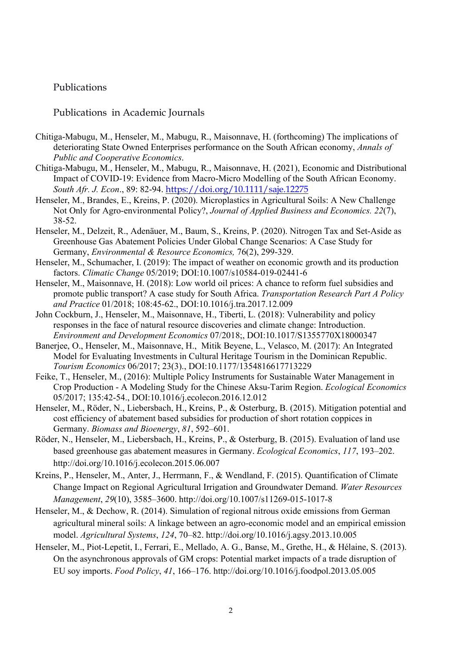# Publications

#### Publications in Academic Journals

- Chitiga‐Mabugu, M., Henseler, M., Mabugu, R., Maisonnave, H. (forthcoming) The implications of deteriorating State Owned Enterprises performance on the South African economy, *Annals of Public and Cooperative Economics*.
- Chitiga‐Mabugu, M., Henseler, M., Mabugu, R., Maisonnave, H. (2021), Economic and Distributional Impact of COVID-19: Evidence from Macro-Micro Modelling of the South African Economy. *South Afr. J. Econ*., 89: 82-94. https://doi.org/10.1111/saje.12275
- Henseler, M., Brandes, E., Kreins, P. (2020). Microplastics in Agricultural Soils: A New Challenge Not Only for Agro-environmental Policy?, *Journal of Applied Business and Economics. 22*(7), 38-52.
- Henseler, M., Delzeit, R., Adenäuer, M., Baum, S., Kreins, P. (2020). Nitrogen Tax and Set-Aside as Greenhouse Gas Abatement Policies Under Global Change Scenarios: A Case Study for Germany, *Environmental & Resource Economics,* 76(2), 299-329.
- Henseler, M., Schumacher, I. (2019): The impact of weather on economic growth and its production factors. *Climatic Change* 05/2019; DOI:10.1007/s10584-019-02441-6
- Henseler, M., Maisonnave, H. (2018): Low world oil prices: A chance to reform fuel subsidies and promote public transport? A case study for South Africa. *Transportation Research Part A Policy and Practice* 01/2018; 108:45-62., DOI:10.1016/j.tra.2017.12.009
- John Cockburn, J., Henseler, M., Maisonnave, H., Tiberti, L. (2018): Vulnerability and policy responses in the face of natural resource discoveries and climate change: Introduction. *Environment and Development Economics* 07/2018;, DOI:10.1017/S1355770X18000347
- Banerjee, O., Henseler, M., Maisonnave, H., Mitik Beyene, L., Velasco, M. (2017): An Integrated Model for Evaluating Investments in Cultural Heritage Tourism in the Dominican Republic. *Tourism Economics* 06/2017; 23(3)., DOI:10.1177/1354816617713229
- Feike, T., Henseler, M., (2016): Multiple Policy Instruments for Sustainable Water Management in Crop Production - A Modeling Study for the Chinese Aksu-Tarim Region. *Ecological Economics* 05/2017; 135:42-54., DOI:10.1016/j.ecolecon.2016.12.012
- Henseler, M., Röder, N., Liebersbach, H., Kreins, P., & Osterburg, B. (2015). Mitigation potential and cost efficiency of abatement based subsidies for production of short rotation coppices in Germany. *Biomass and Bioenergy*, *81*, 592–601.
- Röder, N., Henseler, M., Liebersbach, H., Kreins, P., & Osterburg, B. (2015). Evaluation of land use based greenhouse gas abatement measures in Germany. *Ecological Economics*, *117*, 193–202. http://doi.org/10.1016/j.ecolecon.2015.06.007
- Kreins, P., Henseler, M., Anter, J., Herrmann, F., & Wendland, F. (2015). Quantification of Climate Change Impact on Regional Agricultural Irrigation and Groundwater Demand. *Water Resources Management*, *29*(10), 3585–3600. http://doi.org/10.1007/s11269-015-1017-8
- Henseler, M., & Dechow, R. (2014). Simulation of regional nitrous oxide emissions from German agricultural mineral soils: A linkage between an agro-economic model and an empirical emission model. *Agricultural Systems*, *124*, 70–82. http://doi.org/10.1016/j.agsy.2013.10.005
- Henseler, M., Piot-Lepetit, I., Ferrari, E., Mellado, A. G., Banse, M., Grethe, H., & Hélaine, S. (2013). On the asynchronous approvals of GM crops: Potential market impacts of a trade disruption of EU soy imports. *Food Policy*, *41*, 166–176. http://doi.org/10.1016/j.foodpol.2013.05.005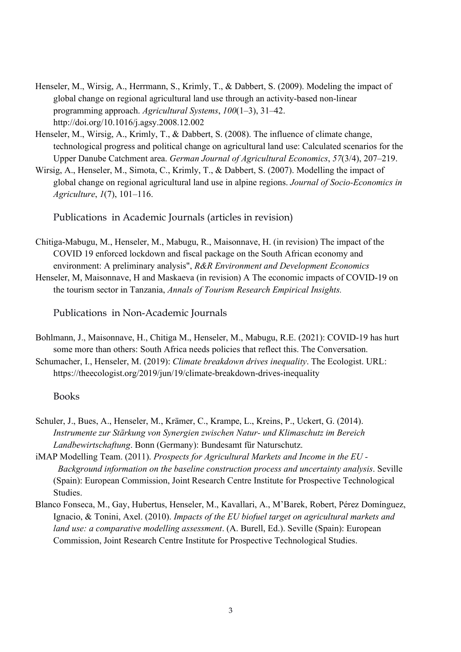- Henseler, M., Wirsig, A., Herrmann, S., Krimly, T., & Dabbert, S. (2009). Modeling the impact of global change on regional agricultural land use through an activity-based non-linear programming approach. *Agricultural Systems*, *100*(1–3), 31–42. http://doi.org/10.1016/j.agsy.2008.12.002
- Henseler, M., Wirsig, A., Krimly, T., & Dabbert, S. (2008). The influence of climate change, technological progress and political change on agricultural land use: Calculated scenarios for the Upper Danube Catchment area. *German Journal of Agricultural Economics*, *57*(3/4), 207–219.
- Wirsig, A., Henseler, M., Simota, C., Krimly, T., & Dabbert, S. (2007). Modelling the impact of global change on regional agricultural land use in alpine regions. *Journal of Socio-Economics in Agriculture*, *1*(7), 101–116.

Publications in Academic Journals (articles in revision)

- Chitiga‐Mabugu, M., Henseler, M., Mabugu, R., Maisonnave, H. (in revision) The impact of the COVID 19 enforced lockdown and fiscal package on the South African economy and environment: A preliminary analysis", *R&R Environment and Development Economics*
- Henseler, M, Maisonnave, H and Maskaeva (in revision) A The economic impacts of COVID-19 on the tourism sector in Tanzania, *Annals of Tourism Research Empirical Insights.*

Publications in Non-Academic Journals

- Bohlmann, J., Maisonnave, H., Chitiga M., Henseler, M., Mabugu, R.E. (2021): COVID-19 has hurt some more than others: South Africa needs policies that reflect this. The Conversation.
- Schumacher, I., Henseler, M. (2019): *Climate breakdown drives inequality*. The Ecologist. URL: https://theecologist.org/2019/jun/19/climate-breakdown-drives-inequality

#### Books

- Schuler, J., Bues, A., Henseler, M., Krämer, C., Krampe, L., Kreins, P., Uckert, G. (2014). *Instrumente zur Stärkung von Synergien zwischen Natur- und Klimaschutz im Bereich Landbewirtschaftung*. Bonn (Germany): Bundesamt für Naturschutz.
- iMAP Modelling Team. (2011). *Prospects for Agricultural Markets and Income in the EU - Background information on the baseline construction process and uncertainty analysis*. Seville (Spain): European Commission, Joint Research Centre Institute for Prospective Technological Studies.
- Blanco Fonseca, M., Gay, Hubertus, Henseler, M., Kavallari, A., M'Barek, Robert, Pérez Domínguez, Ignacio, & Tonini, Axel. (2010). *Impacts of the EU biofuel target on agricultural markets and land use: a comparative modelling assessment*. (A. Burell, Ed.). Seville (Spain): European Commission, Joint Research Centre Institute for Prospective Technological Studies.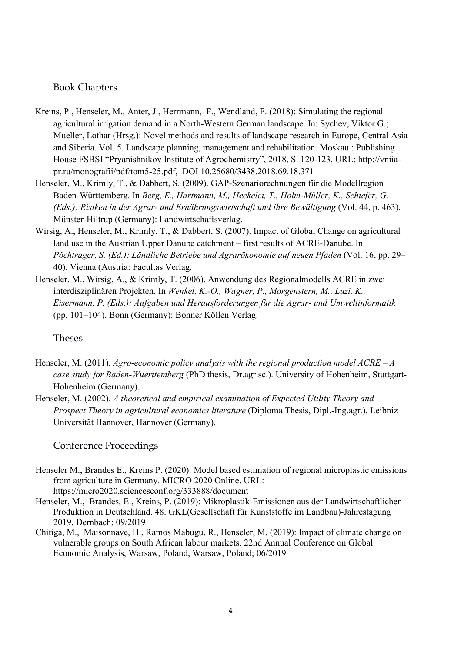### Book Chapters

- Kreins, P., Henseler, M., Anter, J., Herrmann, F., Wendland, F. (2018): Simulating the regional agricultural irrigation demand in a North-Western German landscape. In: Sychev, Viktor G.; Mueller, Lothar (Hrsg.): Novel methods and results of landscape research in Europe, Central Asia and Siberia. Vol. 5. Landscape planning, management and rehabilitation. Moskau : Publishing House FSBSI "Pryanishnikov Institute of Agrochemistry", 2018, S. 120-123. URL: http://vniiapr.ru/monografii/pdf/tom5-25.pdf, DOI 10.25680/3438.2018.69.18.371
- Henseler, M., Krimly, T., & Dabbert, S. (2009). GAP-Szenariorechnungen für die Modellregion Baden-Württemberg. In *Berg, E., Hartmann, M., Heckelei, T., Holm-Müller, K., Schiefer, G. (Eds.): Risiken in der Agrar- und Ernährungswirtschaft und ihre Bewältigung* (Vol. 44, p. 463). Münster-Hiltrup (Germany): Landwirtschaftsverlag.
- Wirsig, A., Henseler, M., Krimly, T., & Dabbert, S. (2007). Impact of Global Change on agricultural land use in the Austrian Upper Danube catchment – first results of ACRE-Danube. In *Pöchtrager, S. (Ed.): Ländliche Betriebe und Agrarökonomie auf neuen Pfaden* (Vol. 16, pp. 29– 40). Vienna (Austria: Facultas Verlag.
- Henseler, M., Wirsig, A., & Krimly, T. (2006). Anwendung des Regionalmodells ACRE in zwei interdisziplinären Projekten. In *Wenkel, K.-O., Wagner, P., Morgenstern, M., Luzi, K., Eisermann, P. (Eds.): Aufgaben und Herausforderungen für die Agrar- und Umweltinformatik* (pp. 101–104). Bonn (Germany): Bonner Köllen Verlag.

#### Theses

- Henseler, M. (2011). *Agro-economic policy analysis with the regional production model ACRE A case study for Baden-Wuerttemberg* (PhD thesis, Dr.agr.sc.). University of Hohenheim, Stuttgart-Hohenheim (Germany).
- Henseler, M. (2002). *A theoretical and empirical examination of Expected Utility Theory and Prospect Theory in agricultural economics literature* (Diploma Thesis, Dipl.-Ing.agr.). Leibniz Universität Hannover, Hannover (Germany).

# Conference Proceedings

- Henseler M., Brandes E., Kreins P. (2020): Model based estimation of regional microplastic emissions from agriculture in Germany. MICRO 2020 Online. URL: https://micro2020.sciencesconf.org/333888/document
- Henseler, M., Brandes, E., Kreins, P. (2019): Mikroplastik‐Emissionen aus der Landwirtschaftlichen Produktion in Deutschland. 48. GKL(Gesellschaft für Kunststoffe im Landbau)-Jahrestagung 2019, Dernbach; 09/2019
- Chitiga, M., Maisonnave, H., Ramos Mabugu, R., Henseler, M. (2019): Impact of climate change on vulnerable groups on South African labour markets. 22nd Annual Conference on Global Economic Analysis, Warsaw, Poland, Warsaw, Poland; 06/2019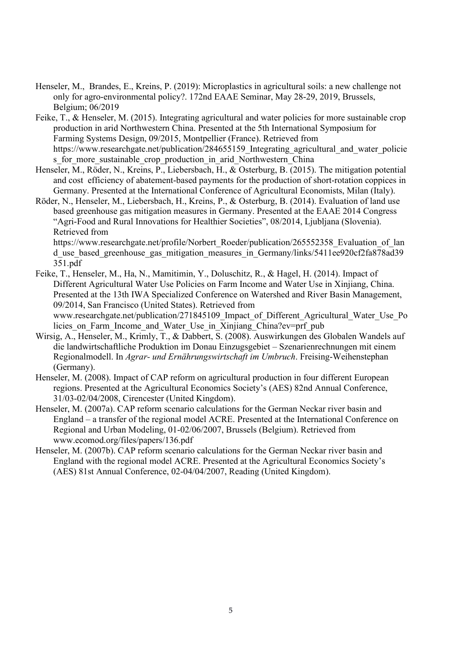- Henseler, M., Brandes, E., Kreins, P. (2019): Microplastics in agricultural soils: a new challenge not only for agro-environmental policy?. 172nd EAAE Seminar, May 28-29, 2019, Brussels, Belgium; 06/2019
- Feike, T., & Henseler, M. (2015). Integrating agricultural and water policies for more sustainable crop production in arid Northwestern China. Presented at the 5th International Symposium for Farming Systems Design, 09/2015, Montpellier (France). Retrieved from https://www.researchgate.net/publication/284655159 Integrating agricultural and water policie s for more sustainable crop production in arid Northwestern China
- Henseler, M., Röder, N., Kreins, P., Liebersbach, H., & Osterburg, B. (2015). The mitigation potential and cost efficiency of abatement-based payments for the production of short-rotation coppices in Germany. Presented at the International Conference of Agricultural Economists, Milan (Italy).
- Röder, N., Henseler, M., Liebersbach, H., Kreins, P., & Osterburg, B. (2014). Evaluation of land use based greenhouse gas mitigation measures in Germany. Presented at the EAAE 2014 Congress "Agri-Food and Rural Innovations for Healthier Societies", 08/2014, Ljubljana (Slovenia). Retrieved from

https://www.researchgate.net/profile/Norbert\_Roeder/publication/265552358\_Evaluation\_of\_lan d use based greenhouse gas mitigation measures in Germany/links/5411ee920cf2fa878ad39 351.pdf

- Feike, T., Henseler, M., Ha, N., Mamitimin, Y., Doluschitz, R., & Hagel, H. (2014). Impact of Different Agricultural Water Use Policies on Farm Income and Water Use in Xinjiang, China. Presented at the 13th IWA Specialized Conference on Watershed and River Basin Management, 09/2014, San Francisco (United States). Retrieved from www.researchgate.net/publication/271845109 Impact of Different Agricultural Water Use Po licies on Farm Income and Water Use in Xinjiang China?ev=prf\_pub
- Wirsig, A., Henseler, M., Krimly, T., & Dabbert, S. (2008). Auswirkungen des Globalen Wandels auf die landwirtschaftliche Produktion im Donau Einzugsgebiet – Szenarienrechnungen mit einem Regionalmodell. In *Agrar- und Ernährungswirtschaft im Umbruch*. Freising-Weihenstephan (Germany).
- Henseler, M. (2008). Impact of CAP reform on agricultural production in four different European regions. Presented at the Agricultural Economics Society's (AES) 82nd Annual Conference, 31/03-02/04/2008, Cirencester (United Kingdom).
- Henseler, M. (2007a). CAP reform scenario calculations for the German Neckar river basin and England – a transfer of the regional model ACRE. Presented at the International Conference on Regional and Urban Modeling, 01-02/06/2007, Brussels (Belgium). Retrieved from www.ecomod.org/files/papers/136.pdf
- Henseler, M. (2007b). CAP reform scenario calculations for the German Neckar river basin and England with the regional model ACRE. Presented at the Agricultural Economics Society's (AES) 81st Annual Conference, 02-04/04/2007, Reading (United Kingdom).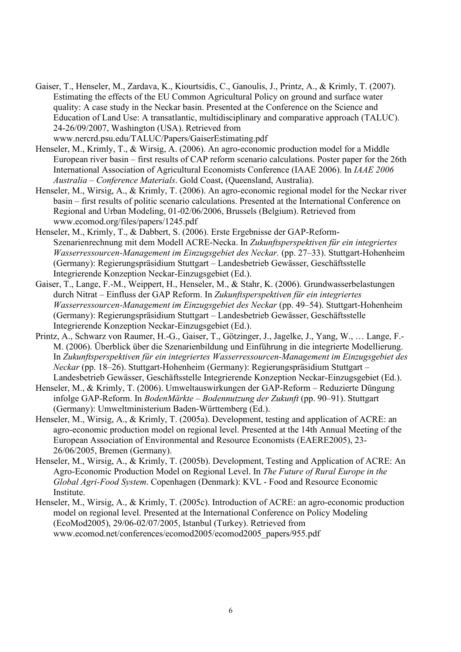Gaiser, T., Henseler, M., Zardava, K., Kiourtsidis, C., Ganoulis, J., Printz, A., & Krimly, T. (2007). Estimating the effects of the EU Common Agricultural Policy on ground and surface water quality: A case study in the Neckar basin. Presented at the Conference on the Science and Education of Land Use: A transatlantic, multidisciplinary and comparative approach (TALUC). 24-26/09/2007, Washington (USA). Retrieved from www.nercrd.psu.edu/TALUC/Papers/GaiserEstimating.pdf

Henseler, M., Krimly, T., & Wirsig, A. (2006). An agro-economic production model for a Middle European river basin – first results of CAP reform scenario calculations. Poster paper for the 26th International Association of Agricultural Economists Conference (IAAE 2006). In *IAAE 2006 Australia – Conference Materials*. Gold Coast, (Queensland, Australia).

- Henseler, M., Wirsig, A., & Krimly, T. (2006). An agro-economic regional model for the Neckar river basin – first results of politic scenario calculations. Presented at the International Conference on Regional and Urban Modeling, 01-02/06/2006, Brussels (Belgium). Retrieved from www.ecomod.org/files/papers/1245.pdf
- Henseler, M., Krimly, T., & Dabbert, S. (2006). Erste Ergebnisse der GAP-Reform-Szenarienrechnung mit dem Modell ACRE-Necka. In *Zukunftsperspektiven für ein integriertes Wasserressourcen-Management im Einzugsgebiet des Neckar.* (pp. 27–33). Stuttgart-Hohenheim (Germany): Regierungspräsidium Stuttgart – Landesbetrieb Gewässer, Geschäftsstelle Integrierende Konzeption Neckar-Einzugsgebiet (Ed.).
- Gaiser, T., Lange, F.-M., Weippert, H., Henseler, M., & Stahr, K. (2006). Grundwasserbelastungen durch Nitrat – Einfluss der GAP Reform. In *Zukunftsperspektiven für ein integriertes Wasserressourcen-Management im Einzugsgebiet des Neckar* (pp. 49–54). Stuttgart-Hohenheim (Germany): Regierungspräsidium Stuttgart – Landesbetrieb Gewässer, Geschäftsstelle Integrierende Konzeption Neckar-Einzugsgebiet (Ed.).
- Printz, A., Schwarz von Raumer, H.-G., Gaiser, T., Götzinger, J., Jagelke, J., Yang, W., … Lange, F.- M. (2006). Überblick über die Szenarienbildung und Einführung in die integrierte Modellierung. In *Zukunftsperspektiven für ein integriertes Wasserressourcen-Management im Einzugsgebiet des Neckar* (pp. 18–26). Stuttgart-Hohenheim (Germany): Regierungspräsidium Stuttgart – Landesbetrieb Gewässer, Geschäftsstelle Integrierende Konzeption Neckar-Einzugsgebiet (Ed.).
- Henseler, M., & Krimly, T. (2006). Umweltauswirkungen der GAP-Reform Reduzierte Düngung infolge GAP-Reform. In *BodenMärkte – Bodennutzung der Zukunft* (pp. 90–91). Stuttgart (Germany): Umweltministerium Baden-Württemberg (Ed.).
- Henseler, M., Wirsig, A., & Krimly, T. (2005a). Development, testing and application of ACRE: an agro-economic production model on regional level. Presented at the 14th Annual Meeting of the European Association of Environmental and Resource Economists (EAERE2005), 23- 26/06/2005, Bremen (Germany).
- Henseler, M., Wirsig, A., & Krimly, T. (2005b). Development, Testing and Application of ACRE: An Agro-Economic Production Model on Regional Level. In *The Future of Rural Europe in the Global Agri-Food System*. Copenhagen (Denmark): KVL - Food and Resource Economic Institute.
- Henseler, M., Wirsig, A., & Krimly, T. (2005c). Introduction of ACRE: an agro-economic production model on regional level. Presented at the International Conference on Policy Modeling (EcoMod2005), 29/06-02/07/2005, Istanbul (Turkey). Retrieved from www.ecomod.net/conferences/ecomod2005/ecomod2005\_papers/955.pdf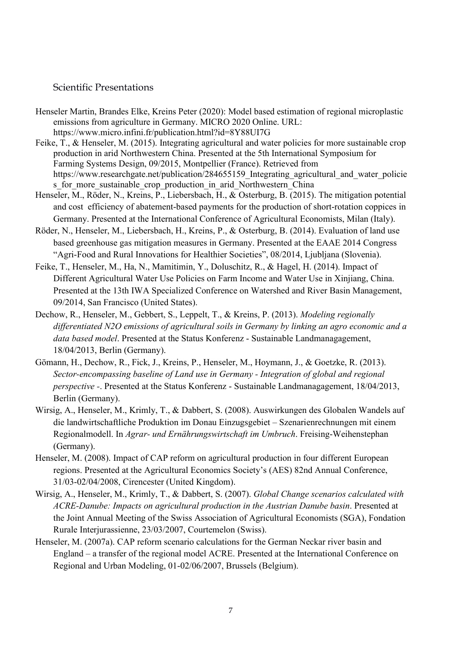# Scientific Presentations

- Henseler Martin, Brandes Elke, Kreins Peter (2020): Model based estimation of regional microplastic emissions from agriculture in Germany. MICRO 2020 Online. URL: https://www.micro.infini.fr/publication.html?id=8Y88UI7G
- Feike, T., & Henseler, M. (2015). Integrating agricultural and water policies for more sustainable crop production in arid Northwestern China. Presented at the 5th International Symposium for Farming Systems Design, 09/2015, Montpellier (France). Retrieved from https://www.researchgate.net/publication/284655159 Integrating agricultural and water policie s for more sustainable crop production in arid Northwestern China
- Henseler, M., Röder, N., Kreins, P., Liebersbach, H., & Osterburg, B. (2015). The mitigation potential and cost efficiency of abatement-based payments for the production of short-rotation coppices in Germany. Presented at the International Conference of Agricultural Economists, Milan (Italy).
- Röder, N., Henseler, M., Liebersbach, H., Kreins, P., & Osterburg, B. (2014). Evaluation of land use based greenhouse gas mitigation measures in Germany. Presented at the EAAE 2014 Congress "Agri-Food and Rural Innovations for Healthier Societies", 08/2014, Ljubljana (Slovenia).
- Feike, T., Henseler, M., Ha, N., Mamitimin, Y., Doluschitz, R., & Hagel, H. (2014). Impact of Different Agricultural Water Use Policies on Farm Income and Water Use in Xinjiang, China. Presented at the 13th IWA Specialized Conference on Watershed and River Basin Management, 09/2014, San Francisco (United States).
- Dechow, R., Henseler, M., Gebbert, S., Leppelt, T., & Kreins, P. (2013). *Modeling regionally differentiated N2O emissions of agricultural soils in Germany by linking an agro economic and a data based model*. Presented at the Status Konferenz - Sustainable Landmanagagement, 18/04/2013, Berlin (Germany).
- Gömann, H., Dechow, R., Fick, J., Kreins, P., Henseler, M., Hoymann, J., & Goetzke, R. (2013). *Sector-encompassing baseline of Land use in Germany - Integration of global and regional perspective -*. Presented at the Status Konferenz - Sustainable Landmanagagement, 18/04/2013, Berlin (Germany).
- Wirsig, A., Henseler, M., Krimly, T., & Dabbert, S. (2008). Auswirkungen des Globalen Wandels auf die landwirtschaftliche Produktion im Donau Einzugsgebiet – Szenarienrechnungen mit einem Regionalmodell. In *Agrar- und Ernährungswirtschaft im Umbruch*. Freising-Weihenstephan (Germany).
- Henseler, M. (2008). Impact of CAP reform on agricultural production in four different European regions. Presented at the Agricultural Economics Society's (AES) 82nd Annual Conference, 31/03-02/04/2008, Cirencester (United Kingdom).
- Wirsig, A., Henseler, M., Krimly, T., & Dabbert, S. (2007). *Global Change scenarios calculated with ACRE-Danube: Impacts on agricultural production in the Austrian Danube basin*. Presented at the Joint Annual Meeting of the Swiss Association of Agricultural Economists (SGA), Fondation Rurale Interjurassienne, 23/03/2007, Courtemelon (Swiss).
- Henseler, M. (2007a). CAP reform scenario calculations for the German Neckar river basin and England – a transfer of the regional model ACRE. Presented at the International Conference on Regional and Urban Modeling, 01-02/06/2007, Brussels (Belgium).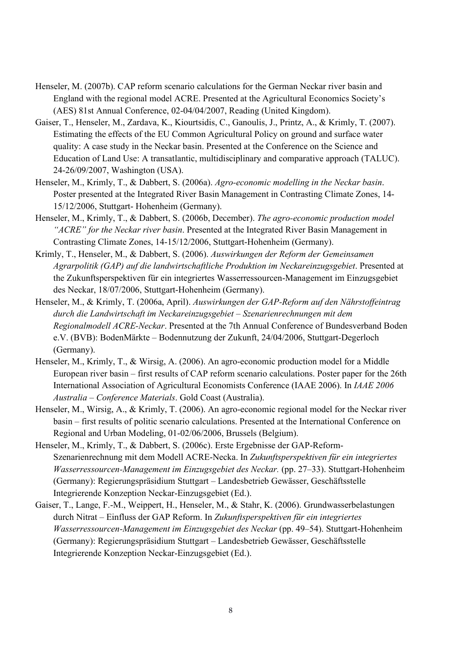- Henseler, M. (2007b). CAP reform scenario calculations for the German Neckar river basin and England with the regional model ACRE. Presented at the Agricultural Economics Society's (AES) 81st Annual Conference, 02-04/04/2007, Reading (United Kingdom).
- Gaiser, T., Henseler, M., Zardava, K., Kiourtsidis, C., Ganoulis, J., Printz, A., & Krimly, T. (2007). Estimating the effects of the EU Common Agricultural Policy on ground and surface water quality: A case study in the Neckar basin. Presented at the Conference on the Science and Education of Land Use: A transatlantic, multidisciplinary and comparative approach (TALUC). 24-26/09/2007, Washington (USA).
- Henseler, M., Krimly, T., & Dabbert, S. (2006a). *Agro-economic modelling in the Neckar basin*. Poster presented at the Integrated River Basin Management in Contrasting Climate Zones, 14- 15/12/2006, Stuttgart- Hohenheim (Germany).
- Henseler, M., Krimly, T., & Dabbert, S. (2006b, December). *The agro-economic production model "ACRE" for the Neckar river basin*. Presented at the Integrated River Basin Management in Contrasting Climate Zones, 14-15/12/2006, Stuttgart-Hohenheim (Germany).
- Krimly, T., Henseler, M., & Dabbert, S. (2006). *Auswirkungen der Reform der Gemeinsamen Agrarpolitik (GAP) auf die landwirtschaftliche Produktion im Neckareinzugsgebiet*. Presented at the Zukunftsperspektiven für ein integriertes Wasserressourcen-Management im Einzugsgebiet des Neckar, 18/07/2006, Stuttgart-Hohenheim (Germany).
- Henseler, M., & Krimly, T. (2006a, April). *Auswirkungen der GAP-Reform auf den Nährstoffeintrag durch die Landwirtschaft im Neckareinzugsgebiet – Szenarienrechnungen mit dem Regionalmodell ACRE-Neckar*. Presented at the 7th Annual Conference of Bundesverband Boden e.V. (BVB): BodenMärkte – Bodennutzung der Zukunft, 24/04/2006, Stuttgart-Degerloch (Germany).
- Henseler, M., Krimly, T., & Wirsig, A. (2006). An agro-economic production model for a Middle European river basin – first results of CAP reform scenario calculations. Poster paper for the 26th International Association of Agricultural Economists Conference (IAAE 2006). In *IAAE 2006 Australia – Conference Materials*. Gold Coast (Australia).
- Henseler, M., Wirsig, A., & Krimly, T. (2006). An agro-economic regional model for the Neckar river basin – first results of politic scenario calculations. Presented at the International Conference on Regional and Urban Modeling, 01-02/06/2006, Brussels (Belgium).
- Henseler, M., Krimly, T., & Dabbert, S. (2006c). Erste Ergebnisse der GAP-Reform-Szenarienrechnung mit dem Modell ACRE-Necka. In *Zukunftsperspektiven für ein integriertes Wasserressourcen-Management im Einzugsgebiet des Neckar.* (pp. 27–33). Stuttgart-Hohenheim (Germany): Regierungspräsidium Stuttgart – Landesbetrieb Gewässer, Geschäftsstelle Integrierende Konzeption Neckar-Einzugsgebiet (Ed.).
- Gaiser, T., Lange, F.-M., Weippert, H., Henseler, M., & Stahr, K. (2006). Grundwasserbelastungen durch Nitrat – Einfluss der GAP Reform. In *Zukunftsperspektiven für ein integriertes Wasserressourcen-Management im Einzugsgebiet des Neckar* (pp. 49–54). Stuttgart-Hohenheim (Germany): Regierungspräsidium Stuttgart – Landesbetrieb Gewässer, Geschäftsstelle Integrierende Konzeption Neckar-Einzugsgebiet (Ed.).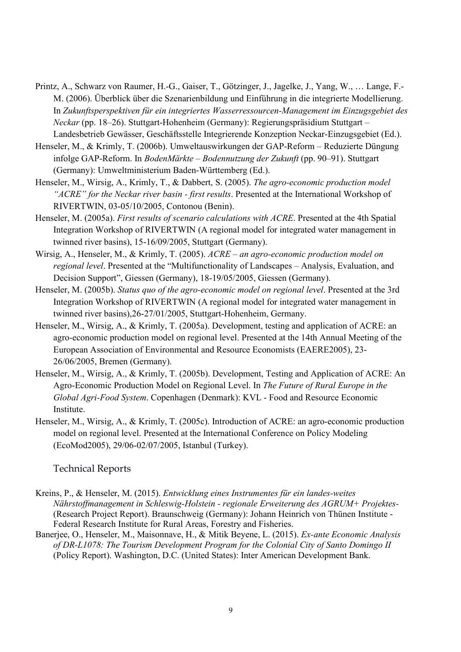- Printz, A., Schwarz von Raumer, H.-G., Gaiser, T., Götzinger, J., Jagelke, J., Yang, W., … Lange, F.- M. (2006). Überblick über die Szenarienbildung und Einführung in die integrierte Modellierung. In *Zukunftsperspektiven für ein integriertes Wasserressourcen-Management im Einzugsgebiet des Neckar* (pp. 18–26). Stuttgart-Hohenheim (Germany): Regierungspräsidium Stuttgart – Landesbetrieb Gewässer, Geschäftsstelle Integrierende Konzeption Neckar-Einzugsgebiet (Ed.).
- Henseler, M., & Krimly, T. (2006b). Umweltauswirkungen der GAP-Reform Reduzierte Düngung infolge GAP-Reform. In *BodenMärkte – Bodennutzung der Zukunft* (pp. 90–91). Stuttgart (Germany): Umweltministerium Baden-Württemberg (Ed.).
- Henseler, M., Wirsig, A., Krimly, T., & Dabbert, S. (2005). *The agro-economic production model "ACRE" for the Neckar river basin - first results*. Presented at the International Workshop of RIVERTWIN, 03-05/10/2005, Contonou (Benin).
- Henseler, M. (2005a). *First results of scenario calculations with ACRE*. Presented at the 4th Spatial Integration Workshop of RIVERTWIN (A regional model for integrated water management in twinned river basins), 15-16/09/2005, Stuttgart (Germany).
- Wirsig, A., Henseler, M., & Krimly, T. (2005). *ACRE an agro-economic production model on regional level*. Presented at the "Multifunctionality of Landscapes – Analysis, Evaluation, and Decision Support", Giessen (Germany), 18-19/05/2005, Giessen (Germany).
- Henseler, M. (2005b). *Status quo of the agro-economic model on regional level*. Presented at the 3rd Integration Workshop of RIVERTWIN (A regional model for integrated water management in twinned river basins),26-27/01/2005, Stuttgart-Hohenheim, Germany.
- Henseler, M., Wirsig, A., & Krimly, T. (2005a). Development, testing and application of ACRE: an agro-economic production model on regional level. Presented at the 14th Annual Meeting of the European Association of Environmental and Resource Economists (EAERE2005), 23- 26/06/2005, Bremen (Germany).
- Henseler, M., Wirsig, A., & Krimly, T. (2005b). Development, Testing and Application of ACRE: An Agro-Economic Production Model on Regional Level. In *The Future of Rural Europe in the Global Agri-Food System*. Copenhagen (Denmark): KVL - Food and Resource Economic Institute.
- Henseler, M., Wirsig, A., & Krimly, T. (2005c). Introduction of ACRE: an agro-economic production model on regional level. Presented at the International Conference on Policy Modeling (EcoMod2005), 29/06-02/07/2005, Istanbul (Turkey).

#### Technical Reports

- Kreins, P., & Henseler, M. (2015). *Entwicklung eines Instrumentes für ein landes-weites Nährstoffmanagement in Schleswig-Holstein - regionale Erweiterung des AGRUM+ Projektes-* (Research Project Report). Braunschweig (Germany): Johann Heinrich von Thünen Institute - Federal Research Institute for Rural Areas, Forestry and Fisheries.
- Banerjee, O., Henseler, M., Maisonnave, H., & Mitik Beyene, L. (2015). *Ex-ante Economic Analysis of DR-L1078: The Tourism Development Program for the Colonial City of Santo Domingo II* (Policy Report). Washington, D.C. (United States): Inter American Development Bank.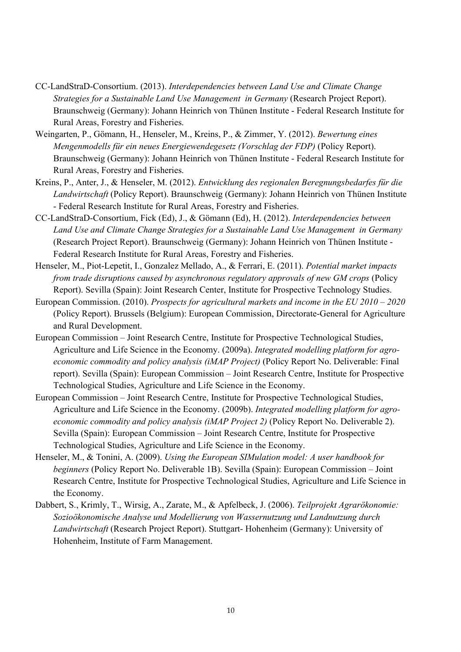- CC-LandStraD-Consortium. (2013). *Interdependencies between Land Use and Climate Change Strategies for a Sustainable Land Use Management in Germany* (Research Project Report). Braunschweig (Germany): Johann Heinrich von Thünen Institute - Federal Research Institute for Rural Areas, Forestry and Fisheries.
- Weingarten, P., Gömann, H., Henseler, M., Kreins, P., & Zimmer, Y. (2012). *Bewertung eines Mengenmodells für ein neues Energiewendegesetz (Vorschlag der FDP)* (Policy Report). Braunschweig (Germany): Johann Heinrich von Thünen Institute - Federal Research Institute for Rural Areas, Forestry and Fisheries.
- Kreins, P., Anter, J., & Henseler, M. (2012). *Entwicklung des regionalen Beregnungsbedarfes für die Landwirtschaft* (Policy Report). Braunschweig (Germany): Johann Heinrich von Thünen Institute - Federal Research Institute for Rural Areas, Forestry and Fisheries.
- CC-LandStraD-Consortium, Fick (Ed), J., & Gömann (Ed), H. (2012). *Interdependencies between Land Use and Climate Change Strategies for a Sustainable Land Use Management in Germany* (Research Project Report). Braunschweig (Germany): Johann Heinrich von Thünen Institute - Federal Research Institute for Rural Areas, Forestry and Fisheries.
- Henseler, M., Piot-Lepetit, I., Gonzalez Mellado, A., & Ferrari, E. (2011). *Potential market impacts from trade disruptions caused by asynchronous regulatory approvals of new GM crops* (Policy Report). Sevilla (Spain): Joint Research Center, Institute for Prospective Technology Studies.
- European Commission. (2010). *Prospects for agricultural markets and income in the EU 2010 2020* (Policy Report). Brussels (Belgium): European Commission, Directorate-General for Agriculture and Rural Development.
- European Commission Joint Research Centre, Institute for Prospective Technological Studies, Agriculture and Life Science in the Economy. (2009a). *Integrated modelling platform for agroeconomic commodity and policy analysis (iMAP Project)* (Policy Report No. Deliverable: Final report). Sevilla (Spain): European Commission – Joint Research Centre, Institute for Prospective Technological Studies, Agriculture and Life Science in the Economy.
- European Commission Joint Research Centre, Institute for Prospective Technological Studies, Agriculture and Life Science in the Economy. (2009b). *Integrated modelling platform for agroeconomic commodity and policy analysis (iMAP Project 2)* (Policy Report No. Deliverable 2). Sevilla (Spain): European Commission – Joint Research Centre, Institute for Prospective Technological Studies, Agriculture and Life Science in the Economy.
- Henseler, M., & Tonini, A. (2009). *Using the European SIMulation model: A user handbook for beginners* (Policy Report No. Deliverable 1B). Sevilla (Spain): European Commission – Joint Research Centre, Institute for Prospective Technological Studies, Agriculture and Life Science in the Economy.
- Dabbert, S., Krimly, T., Wirsig, A., Zarate, M., & Apfelbeck, J. (2006). *Teilprojekt Agrarökonomie: Sozioökonomische Analyse und Modellierung von Wassernutzung und Landnutzung durch Landwirtschaft* (Research Project Report). Stuttgart- Hohenheim (Germany): University of Hohenheim, Institute of Farm Management.